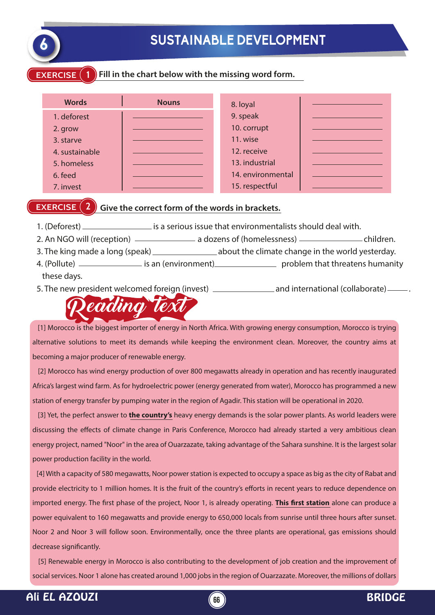

## **6 SUSTAINABLE DEVELOPMENT**

#### **EXERCISE 1 Fill in the chart below with the missing word form.**

| <b>Words</b>   | <b>Nouns</b> | 8. loyal          |  |
|----------------|--------------|-------------------|--|
| 1. deforest    |              | 9. speak          |  |
| 2. grow        |              | 10. corrupt       |  |
| 3. starve      |              | 11. wise          |  |
| 4. sustainable |              | 12. receive       |  |
| 5. homeless    |              | 13. industrial    |  |
| 6. feed        |              | 14. environmental |  |
| 7. invest      |              | 15. respectful    |  |

#### **EXERCISE**  $(2)$  Give the correct form of the words in brackets.

- 1. (Deforest) <u>is a serious issue that environmentalists should deal with.</u>
- 2. An NGO will (reception) \_\_\_\_\_\_\_\_\_\_\_\_\_\_\_\_ a dozens of (homelessness) \_\_\_\_\_\_\_\_\_\_\_\_\_\_\_\_\_\_\_\_children.
- 3. The king made a long (speak) \_\_\_\_\_\_\_\_\_\_\_\_\_\_\_\_\_\_ about the climate change in the world yesterday. 4. (Pollute) <u>\_\_\_\_\_\_\_\_\_\_</u> is an (environment) problem that threatens humanity
	- these days.

5. The new president welcomed foreign (invest) \_\_\_\_\_\_\_\_\_\_\_\_\_\_\_\_\_\_\_\_\_\_\_\_\_\_\_\_\_\_\_\_\_\_ and international (collaborate) \_\_\_\_\_\_\_.

# Reading text

 [1] Morocco is the biggest importer of energy in North Africa. With growing energy consumption, Morocco is trying alternative solutions to meet its demands while keeping the environment clean. Moreover, the country aims at becoming a major producer of renewable energy.

 [2] Morocco has wind energy production of over 800 megawatts already in operation and has recently inaugurated Africa's largest wind farm. As for hydroelectric power (energy generated from water), Morocco has programmed a new station of energy transfer by pumping water in the region of Agadir. This station will be operational in 2020.

 [3] Yet, the perfect answer to **the country's** heavy energy demands is the solar power plants. As world leaders were discussing the effects of climate change in Paris Conference, Morocco had already started a very ambitious clean energy project, named "Noor" in the area of Ouarzazate, taking advantage of the Sahara sunshine. It is the largest solar power production facility in the world.

 [4] With a capacity of 580 megawatts, Noor power station is expected to occupy a space as big as the city of Rabat and provide electricity to 1 million homes. It is the fruit of the country's efforts in recent years to reduce dependence on imported energy. The first phase of the project, Noor 1, is already operating. **This first station** alone can produce a power equivalent to 160 megawatts and provide energy to 650,000 locals from sunrise until three hours after sunset. Noor 2 and Noor 3 will follow soon. Environmentally, once the three plants are operational, gas emissions should decrease significantly.

 [5] Renewable energy in Morocco is also contributing to the development of job creation and the improvement of social services. Noor 1 alone has created around 1,000 jobs in the region of Ouarzazate. Moreover, the millions of dollars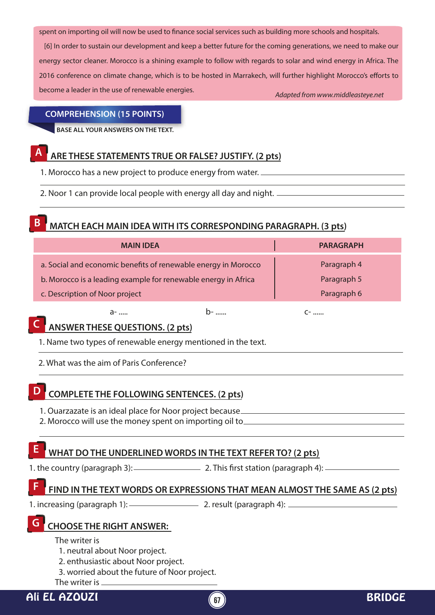spent on importing oil will now be used to finance social services such as building more schools and hospitals.

*Adapted from www.middleasteye.net* [6] In order to sustain our development and keep a better future for the coming generations, we need to make our energy sector cleaner. Morocco is a shining example to follow with regards to solar and wind energy in Africa. The 2016 conference on climate change, which is to be hosted in Marrakech, will further highlight Morocco's efforts to become a leader in the use of renewable energies.

#### **COMPREHENSION (15 POINTS)**

**BASE ALL YOUR ANSWERS ON THE TEXT.**

#### **A ARE THESE STATEMENTS TRUE OR FALSE? JUSTIFY. (2 pts)**

1. Morocco has a new project to produce energy from water.

2. Noor 1 can provide local people with energy all day and night.

#### **B MATCH EACH MAIN IDEA WITH ITS CORRESPONDING PARAGRAPH. (3 pts)**

| <b>MAIN IDEA</b>                                               |  | <b>PARAGRAPH</b> |  |
|----------------------------------------------------------------|--|------------------|--|
| a. Social and economic benefits of renewable energy in Morocco |  | Paragraph 4      |  |
| b. Morocco is a leading example for renewable energy in Africa |  | Paragraph 5      |  |
| c. Description of Noor project                                 |  | Paragraph 6      |  |
| ล-                                                             |  | $C^-$            |  |

# **C ANSWER THESE QUESTIONS. (2 pts)**

- 1. Name two types of renewable energy mentioned in the text.
- 2. What was the aim of Paris Conference?

## **D COMPLETE THE FOLLOWING SENTENCES. (2 pts)**

- 1. Ouarzazate is an ideal place for Noor project because
- 2. Morocco will use the money spent on importing oil to

### WHAT DO THE UNDERLINED WORDS IN THE TEXT REFER TO? (2 pts)

1. the country (paragraph 3):  $\frac{2.7 \text{hs first station (parametr)} }{2.2 \text{ cm}}$ 

#### **FIND IN THE TEXT WORDS OR EXPRESSIONS THAT MEAN ALMOST THE SAME AS (2 pts) F**

1. increasing (paragraph 1):  $\frac{2}{1}$  2. result (paragraph 4):  $\frac{2}{1}$ 

#### **G CHOOSE THE RIGHT ANSWER:**

- The writer is
- 1. neutral about Noor project.
- 2. enthusiastic about Noor project.
- 3. worried about the future of Noor project.
- The writer is